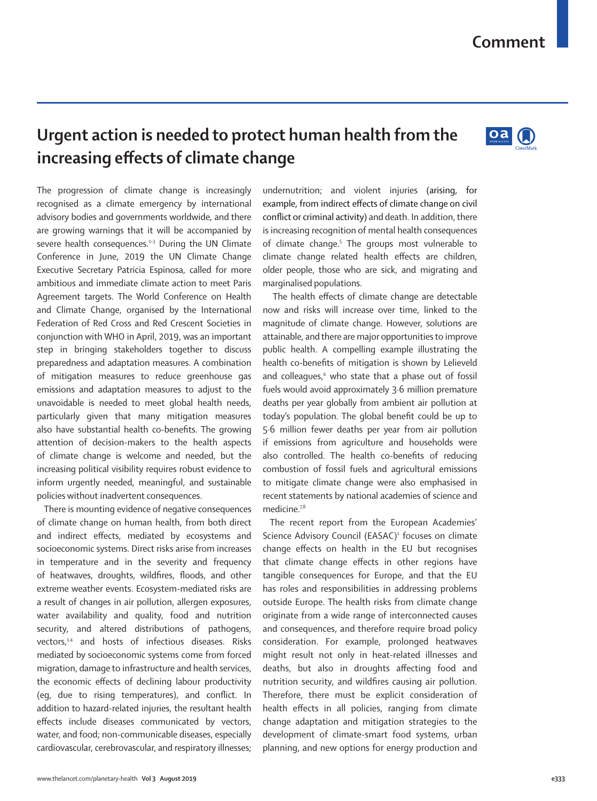## **Comment**

# **Urgent action is needed to protect human health from the increasing effects of climate change**



The progression of climate change is increasingly recognised as a climate emergency by international advisory bodies and governments worldwide, and there are growing warnings that it will be accompanied by severe health consequences.<sup>1-3</sup> During the UN Climate Conference in June, 2019 the UN Climate Change Executive Secretary Patricia Espinosa, called for more ambitious and immediate climate action to meet Paris Agreement targets. The World Conference on Health and Climate Change, organised by the International Federation of Red Cross and Red Crescent Societies in conjunction with WHO in April, 2019, was an important step in bringing stakeholders together to discuss preparedness and adaptation measures. A combination of mitigation measures to reduce greenhouse gas emissions and adaptation measures to adjust to the unavoidable is needed to meet global health needs, particularly given that many mitigation measures also have substantial health co-benefits. The growing attention of decision-makers to the health aspects of climate change is welcome and needed, but the increasing political visibility requires robust evidence to inform urgently needed, meaningful, and sustainable policies without inadvertent consequences.

There is mounting evidence of negative consequences of climate change on human health, from both direct and indirect effects, mediated by ecosystems and socioeconomic systems. Direct risks arise from increases in temperature and in the severity and frequency of heatwaves, droughts, wildfires, floods, and other extreme weather events. Ecosystem-mediated risks are a result of changes in air pollution, allergen exposures, water availability and quality, food and nutrition security, and altered distributions of pathogens, vectors,<sup>1,4</sup> and hosts of infectious diseases. Risks mediated by socioeconomic systems come from forced migration, damage to infrastructure and health services, the economic effects of declining labour productivity (eg, due to rising temperatures), and conflict. In addition to hazard-related injuries, the resultant health effects include diseases communicated by vectors, water, and food; non-communicable diseases, especially cardiovascular, cerebrovascular, and respiratory illnesses; undernutrition; and violent injuries (arising, for example, from indirect effects of climate change on civil conflict or criminal activity) and death. In addition, there is increasing recognition of mental health consequences of climate change.<sup>5</sup> The groups most vulnerable to climate change related health effects are children, older people, those who are sick, and migrating and marginalised populations.

 The health effects of climate change are detectable now and risks will increase over time, linked to the magnitude of climate change. However, solutions are attainable, and there are major opportunities to improve public health. A compelling example illustrating the health co-benefits of mitigation is shown by Lelieveld and colleagues,<sup>6</sup> who state that a phase out of fossil fuels would avoid approximately 3∙6 million premature deaths per year globally from ambient air pollution at today's population. The global benefit could be up to 5∙6 million fewer deaths per year from air pollution if emissions from agriculture and households were also controlled. The health co-benefits of reducing combustion of fossil fuels and agricultural emissions to mitigate climate change were also emphasised in recent statements by national academies of science and medicine.<sup>7,8</sup>

The recent report from the European Academies' Science Advisory Council (EASAC)<sup>1</sup> focuses on climate change effects on health in the EU but recognises that climate change effects in other regions have tangible consequences for Europe, and that the EU has roles and responsibilities in addressing problems outside Europe. The health risks from climate change originate from a wide range of interconnected causes and consequences, and therefore require broad policy consideration. For example, prolonged heatwaves might result not only in heat-related illnesses and deaths, but also in droughts affecting food and nutrition security, and wildfires causing air pollution. Therefore, there must be explicit consideration of health effects in all policies, ranging from climate change adaptation and mitigation strategies to the development of climate-smart food systems, urban planning, and new options for energy production and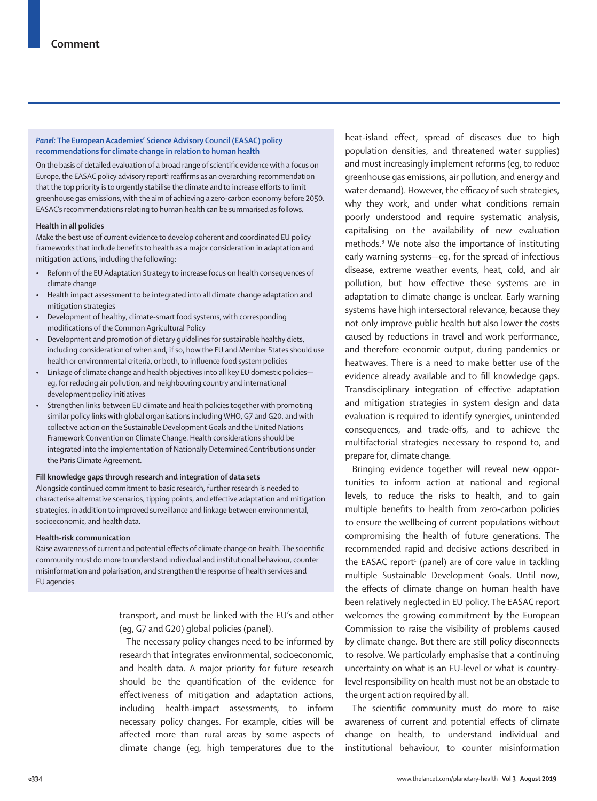#### *Panel:* **The European Academies' Science Advisory Council (EASAC) policy recommendations for climate change in relation to human health**

On the basis of detailed evaluation of a broad range of scientific evidence with a focus on Europe, the EASAC policy advisory report<sup>1</sup> reaffirms as an overarching recommendation that the top priority is to urgently stabilise the climate and to increase efforts to limit greenhouse gas emissions, with the aim of achieving a zero-carbon economy before 2050. EASAC's recommendations relating to human health can be summarised as follows.

#### **Health in all policies**

Make the best use of current evidence to develop coherent and coordinated EU policy frameworks that include benefits to health as a major consideration in adaptation and mitigation actions, including the following:

- Reform of the EU Adaptation Strategy to increase focus on health consequences of climate change
- Health impact assessment to be integrated into all climate change adaptation and mitigation strategies
- Development of healthy, climate-smart food systems, with corresponding modifications of the Common Agricultural Policy
- Development and promotion of dietary guidelines for sustainable healthy diets, including consideration of when and, if so, how the EU and Member States should use health or environmental criteria, or both, to influence food system policies
- Linkage of climate change and health objectives into all key EU domestic policies eg, for reducing air pollution, and neighbouring country and international development policy initiatives
- Strengthen links between EU climate and health policies together with promoting similar policy links with global organisations including WHO, G7 and G20, and with collective action on the Sustainable Development Goals and the United Nations Framework Convention on Climate Change. Health considerations should be integrated into the implementation of Nationally Determined Contributions under the Paris Climate Agreement.

#### **Fill knowledge gaps through research and integration of data sets**

Alongside continued commitment to basic research, further research is needed to characterise alternative scenarios, tipping points, and effective adaptation and mitigation strategies, in addition to improved surveillance and linkage between environmental, socioeconomic, and health data.

#### **Health-risk communication**

Raise awareness of current and potential effects of climate change on health. The scientific community must do more to understand individual and institutional behaviour, counter misinformation and polarisation, and strengthen the response of health services and EU agencies.

> transport, and must be linked with the EU's and other (eg, G7 and G20) global policies (panel).

> The necessary policy changes need to be informed by research that integrates environmental, socioeconomic, and health data. A major priority for future research should be the quantification of the evidence for effectiveness of mitigation and adaptation actions, including health-impact assessments, to inform necessary policy changes. For example, cities will be affected more than rural areas by some aspects of climate change (eg, high temperatures due to the

heat-island effect, spread of diseases due to high population densities, and threatened water supplies) and must increasingly implement reforms (eg, to reduce greenhouse gas emissions, air pollution, and energy and water demand). However, the efficacy of such strategies, why they work, and under what conditions remain poorly understood and require systematic analysis, capitalising on the availability of new evaluation methods.<sup>9</sup> We note also the importance of instituting early warning systems—eg, for the spread of infectious disease, extreme weather events, heat, cold, and air pollution, but how effective these systems are in adaptation to climate change is unclear. Early warning systems have high intersectoral relevance, because they not only improve public health but also lower the costs caused by reductions in travel and work performance, and therefore economic output, during pandemics or heatwaves. There is a need to make better use of the evidence already available and to fill knowledge gaps. Transdisciplinary integration of effective adaptation and mitigation strategies in system design and data evaluation is required to identify synergies, unintended consequences, and trade-offs, and to achieve the multifactorial strategies necessary to respond to, and prepare for, climate change.

Bringing evidence together will reveal new opportunities to inform action at national and regional levels, to reduce the risks to health, and to gain multiple benefits to health from zero-carbon policies to ensure the wellbeing of current populations without compromising the health of future generations. The recommended rapid and decisive actions described in the EASAC report<sup>1</sup> (panel) are of core value in tackling multiple Sustainable Development Goals. Until now, the effects of climate change on human health have been relatively neglected in EU policy. The EASAC report welcomes the growing commitment by the European Commission to raise the visibility of problems caused by climate change. But there are still policy disconnects to resolve. We particularly emphasise that a continuing uncertainty on what is an EU-level or what is countrylevel responsibility on health must not be an obstacle to the urgent action required by all.

The scientific community must do more to raise awareness of current and potential effects of climate change on health, to understand individual and institutional behaviour, to counter misinformation